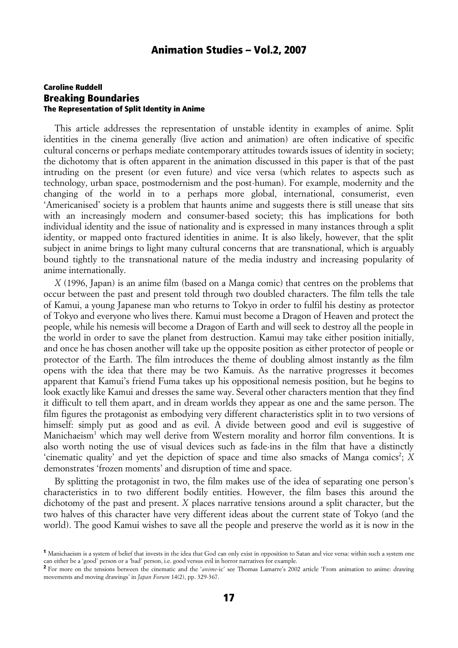### Caroline Ruddell Breaking Boundaries The Representation of Split Identity in Anime

This article addresses the representation of unstable identity in examples of anime. Split identities in the cinema generally (live action and animation) are often indicative of specific cultural concerns or perhaps mediate contemporary attitudes towards issues of identity in society; the dichotomy that is often apparent in the animation discussed in this paper is that of the past intruding on the present (or even future) and vice versa (which relates to aspects such as technology, urban space, postmodernism and the post-human). For example, modernity and the changing of the world in to a perhaps more global, international, consumerist, even 'Americanised' society is a problem that haunts anime and suggests there is still unease that sits with an increasingly modern and consumer-based society; this has implications for both individual identity and the issue of nationality and is expressed in many instances through a split identity, or mapped onto fractured identities in anime. It is also likely, however, that the split subject in anime brings to light many cultural concerns that are transnational, which is arguably bound tightly to the transnational nature of the media industry and increasing popularity of anime internationally.

*X* (1996, Japan) is an anime film (based on a Manga comic) that centres on the problems that occur between the past and present told through two doubled characters. The film tells the tale of Kamui, a young Japanese man who returns to Tokyo in order to fulfil his destiny as protector of Tokyo and everyone who lives there. Kamui must become a Dragon of Heaven and protect the people, while his nemesis will become a Dragon of Earth and will seek to destroy all the people in the world in order to save the planet from destruction. Kamui may take either position initially, and once he has chosen another will take up the opposite position as either protector of people or protector of the Earth. The film introduces the theme of doubling almost instantly as the film opens with the idea that there may be two Kamuis. As the narrative progresses it becomes apparent that Kamui's friend Fuma takes up his oppositional nemesis position, but he begins to look exactly like Kamui and dresses the same way. Several other characters mention that they find it difficult to tell them apart, and in dream worlds they appear as one and the same person. The film figures the protagonist as embodying very different characteristics split in to two versions of himself: simply put as good and as evil. A divide between good and evil is suggestive of Manichaeism<sup>1</sup> which may well derive from Western morality and horror film conventions. It is also worth noting the use of visual devices such as fade-ins in the film that have a distinctly 'cinematic quality' and yet the depiction of space and time also smacks of Manga comics<sup>2</sup>; *X* demonstrates 'frozen moments' and disruption of time and space.

By splitting the protagonist in two, the film makes use of the idea of separating one person's characteristics in to two different bodily entities. However, the film bases this around the dichotomy of the past and present. *X* places narrative tensions around a split character, but the two halves of this character have very different ideas about the current state of Tokyo (and the world). The good Kamui wishes to save all the people and preserve the world as it is now in the

<sup>&</sup>lt;sup>1</sup> Manichaeism is a system of belief that invests in the idea that God can only exist in opposition to Satan and vice versa: within such a system one can either be a 'good' person or a 'bad' person, i.e. good versus evil in horror narratives for example.

<sup>&</sup>lt;sup>2</sup> For more on the tensions between the cinematic and the '*anime*-ic' see Thomas Lamarre's 2002 article 'From animation to anime: drawing movements and moving drawings' in *Japan Forum* 14(2), pp. 329-367.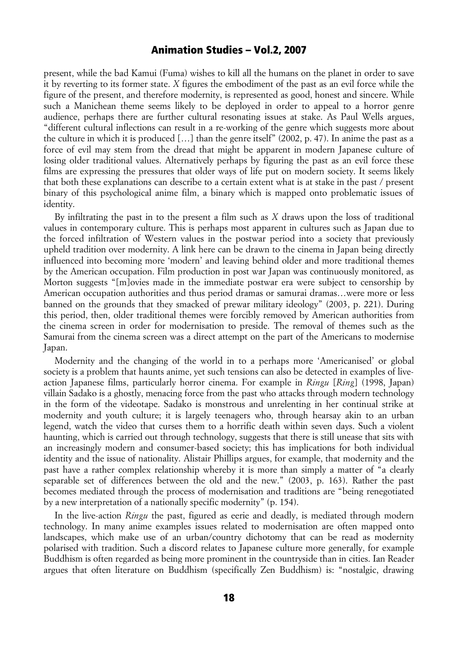present, while the bad Kamui (Fuma) wishes to kill all the humans on the planet in order to save it by reverting to its former state. *X* figures the embodiment of the past as an evil force while the figure of the present, and therefore modernity, is represented as good, honest and sincere. While such a Manichean theme seems likely to be deployed in order to appeal to a horror genre audience, perhaps there are further cultural resonating issues at stake. As Paul Wells argues, "different cultural inflections can result in a re-working of the genre which suggests more about the culture in which it is produced […] than the genre itself" (2002, p. 47). In anime the past as a force of evil may stem from the dread that might be apparent in modern Japanese culture of losing older traditional values. Alternatively perhaps by figuring the past as an evil force these films are expressing the pressures that older ways of life put on modern society. It seems likely that both these explanations can describe to a certain extent what is at stake in the past / present binary of this psychological anime film, a binary which is mapped onto problematic issues of identity.

By infiltrating the past in to the present a film such as *X* draws upon the loss of traditional values in contemporary culture. This is perhaps most apparent in cultures such as Japan due to the forced infiltration of Western values in the postwar period into a society that previously upheld tradition over modernity. A link here can be drawn to the cinema in Japan being directly influenced into becoming more 'modern' and leaving behind older and more traditional themes by the American occupation. Film production in post war Japan was continuously monitored, as Morton suggests "[m]ovies made in the immediate postwar era were subject to censorship by American occupation authorities and thus period dramas or samurai dramas…were more or less banned on the grounds that they smacked of prewar military ideology" (2003, p. 221). During this period, then, older traditional themes were forcibly removed by American authorities from the cinema screen in order for modernisation to preside. The removal of themes such as the Samurai from the cinema screen was a direct attempt on the part of the Americans to modernise Japan.

Modernity and the changing of the world in to a perhaps more 'Americanised' or global society is a problem that haunts anime, yet such tensions can also be detected in examples of liveaction Japanese films, particularly horror cinema. For example in *Ringu* [*Ring*] (1998, Japan) villain Sadako is a ghostly, menacing force from the past who attacks through modern technology in the form of the videotape. Sadako is monstrous and unrelenting in her continual strike at modernity and youth culture; it is largely teenagers who, through hearsay akin to an urban legend, watch the video that curses them to a horrific death within seven days. Such a violent haunting, which is carried out through technology, suggests that there is still unease that sits with an increasingly modern and consumer-based society; this has implications for both individual identity and the issue of nationality. Alistair Phillips argues, for example, that modernity and the past have a rather complex relationship whereby it is more than simply a matter of "a clearly separable set of differences between the old and the new." (2003, p. 163). Rather the past becomes mediated through the process of modernisation and traditions are "being renegotiated by a new interpretation of a nationally specific modernity" (p. 154).

In the live-action *Ringu* the past, figured as eerie and deadly, is mediated through modern technology. In many anime examples issues related to modernisation are often mapped onto landscapes, which make use of an urban/country dichotomy that can be read as modernity polarised with tradition. Such a discord relates to Japanese culture more generally, for example Buddhism is often regarded as being more prominent in the countryside than in cities. Ian Reader argues that often literature on Buddhism (specifically Zen Buddhism) is: "nostalgic, drawing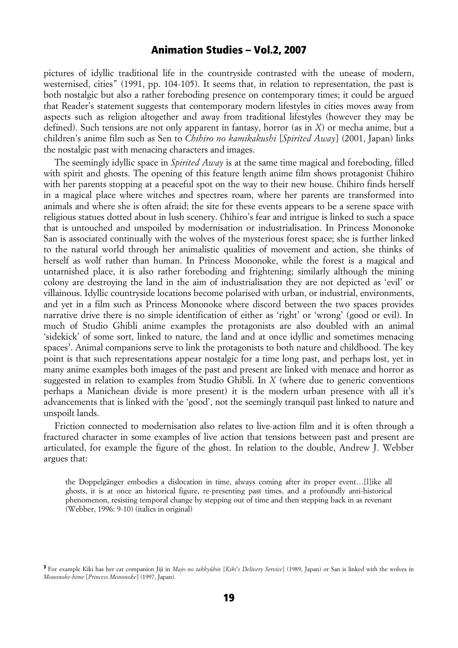pictures of idyllic traditional life in the countryside contrasted with the unease of modern, westernised, cities" (1991, pp. 104-105). It seems that, in relation to representation, the past is both nostalgic but also a rather foreboding presence on contemporary times; it could be argued that Reader's statement suggests that contemporary modern lifestyles in cities moves away from aspects such as religion altogether and away from traditional lifestyles (however they may be defined). Such tensions are not only apparent in fantasy, horror (as in *X*) or mecha anime, but a children's anime film such as Sen to *Chihiro no kamikakushi* [*Spirited Away*] (2001, Japan) links the nostalgic past with menacing characters and images.

The seemingly idyllic space in *Spirited Away* is at the same time magical and foreboding, filled with spirit and ghosts. The opening of this feature length anime film shows protagonist Chihiro with her parents stopping at a peaceful spot on the way to their new house. Chihiro finds herself in a magical place where witches and spectres roam, where her parents are transformed into animals and where she is often afraid; the site for these events appears to be a serene space with religious statues dotted about in lush scenery. Chihiro's fear and intrigue is linked to such a space that is untouched and unspoiled by modernisation or industrialisation. In Princess Mononoke San is associated continually with the wolves of the mysterious forest space; she is further linked to the natural world through her animalistic qualities of movement and action, she thinks of herself as wolf rather than human. In Princess Mononoke, while the forest is a magical and untarnished place, it is also rather foreboding and frightening; similarly although the mining colony are destroying the land in the aim of industrialisation they are not depicted as 'evil' or villainous. Idyllic countryside locations become polarised with urban, or industrial, environments, and yet in a film such as Princess Mononoke where discord between the two spaces provides narrative drive there is no simple identification of either as 'right' or 'wrong' (good or evil). In much of Studio Ghibli anime examples the protagonists are also doubled with an animal 'sidekick' of some sort, linked to nature, the land and at once idyllic and sometimes menacing spaces<sup>3</sup>. Animal companions serve to link the protagonists to both nature and childhood. The key point is that such representations appear nostalgic for a time long past, and perhaps lost, yet in many anime examples both images of the past and present are linked with menace and horror as suggested in relation to examples from Studio Ghibli. In *X* (where due to generic conventions perhaps a Manichean divide is more present) it is the modern urban presence with all it's advancements that is linked with the 'good', not the seemingly tranquil past linked to nature and unspoilt lands.

Friction connected to modernisation also relates to live-action film and it is often through a fractured character in some examples of live action that tensions between past and present are articulated, for example the figure of the ghost. In relation to the double, Andrew J. Webber argues that:

the Doppelgänger embodies a dislocation in time, always coming after its proper event…[l]ike all ghosts, it is at once an historical figure, re-presenting past times, and a profoundly anti-historical phenomenon, resisting temporal change by stepping out of time and then stepping back in as revenant (Webber, 1996: 9-10) (italics in original)

<sup>3</sup> For example Kiki has her cat companion Jiji in *Majo no takkyûbin* [*Kiki's Delivery Service*] (1989, Japan) or San is linked with the wolves in *Mononoke-hime* [*Princess Mononoke*] (1997, Japan).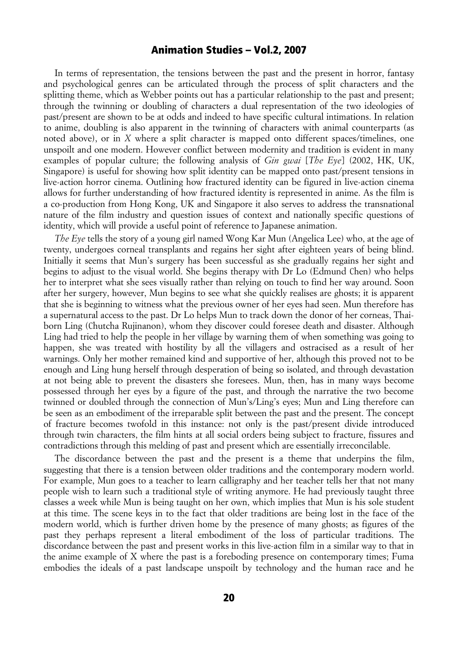In terms of representation, the tensions between the past and the present in horror, fantasy and psychological genres can be articulated through the process of split characters and the splitting theme, which as Webber points out has a particular relationship to the past and present; through the twinning or doubling of characters a dual representation of the two ideologies of past/present are shown to be at odds and indeed to have specific cultural intimations. In relation to anime, doubling is also apparent in the twinning of characters with animal counterparts (as noted above), or in *X* where a split character is mapped onto different spaces/timelines, one unspoilt and one modern. However conflict between modernity and tradition is evident in many examples of popular culture; the following analysis of *Gin gwai* [*The Eye*] (2002, HK, UK, Singapore) is useful for showing how split identity can be mapped onto past/present tensions in live-action horror cinema. Outlining how fractured identity can be figured in live-action cinema allows for further understanding of how fractured identity is represented in anime. As the film is a co-production from Hong Kong, UK and Singapore it also serves to address the transnational nature of the film industry and question issues of context and nationally specific questions of identity, which will provide a useful point of reference to Japanese animation.

*The Eye* tells the story of a young girl named Wong Kar Mun (Angelica Lee) who, at the age of twenty, undergoes corneal transplants and regains her sight after eighteen years of being blind. Initially it seems that Mun's surgery has been successful as she gradually regains her sight and begins to adjust to the visual world. She begins therapy with Dr Lo (Edmund Chen) who helps her to interpret what she sees visually rather than relying on touch to find her way around. Soon after her surgery, however, Mun begins to see what she quickly realises are ghosts; it is apparent that she is beginning to witness what the previous owner of her eyes had seen. Mun therefore has a supernatural access to the past. Dr Lo helps Mun to track down the donor of her corneas, Thaiborn Ling (Chutcha Rujinanon), whom they discover could foresee death and disaster. Although Ling had tried to help the people in her village by warning them of when something was going to happen, she was treated with hostility by all the villagers and ostracised as a result of her warnings. Only her mother remained kind and supportive of her, although this proved not to be enough and Ling hung herself through desperation of being so isolated, and through devastation at not being able to prevent the disasters she foresees. Mun, then, has in many ways become possessed through her eyes by a figure of the past, and through the narrative the two become twinned or doubled through the connection of Mun's/Ling's eyes; Mun and Ling therefore can be seen as an embodiment of the irreparable split between the past and the present. The concept of fracture becomes twofold in this instance: not only is the past/present divide introduced through twin characters, the film hints at all social orders being subject to fracture, fissures and contradictions through this melding of past and present which are essentially irreconcilable.

The discordance between the past and the present is a theme that underpins the film, suggesting that there is a tension between older traditions and the contemporary modern world. For example, Mun goes to a teacher to learn calligraphy and her teacher tells her that not many people wish to learn such a traditional style of writing anymore. He had previously taught three classes a week while Mun is being taught on her own, which implies that Mun is his sole student at this time. The scene keys in to the fact that older traditions are being lost in the face of the modern world, which is further driven home by the presence of many ghosts; as figures of the past they perhaps represent a literal embodiment of the loss of particular traditions. The discordance between the past and present works in this live-action film in a similar way to that in the anime example of X where the past is a foreboding presence on contemporary times; Fuma embodies the ideals of a past landscape unspoilt by technology and the human race and he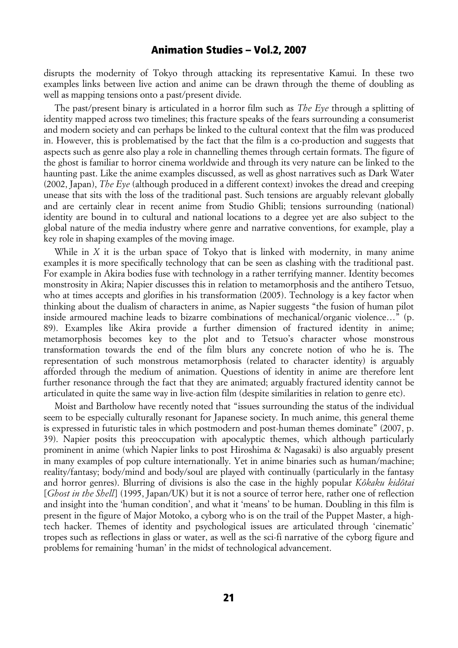disrupts the modernity of Tokyo through attacking its representative Kamui. In these two examples links between live action and anime can be drawn through the theme of doubling as well as mapping tensions onto a past/present divide.

The past/present binary is articulated in a horror film such as *The Eye* through a splitting of identity mapped across two timelines; this fracture speaks of the fears surrounding a consumerist and modern society and can perhaps be linked to the cultural context that the film was produced in. However, this is problematised by the fact that the film is a co-production and suggests that aspects such as genre also play a role in channelling themes through certain formats. The figure of the ghost is familiar to horror cinema worldwide and through its very nature can be linked to the haunting past. Like the anime examples discussed, as well as ghost narratives such as Dark Water (2002, Japan), *The Eye* (although produced in a different context) invokes the dread and creeping unease that sits with the loss of the traditional past. Such tensions are arguably relevant globally and are certainly clear in recent anime from Studio Ghibli; tensions surrounding (national) identity are bound in to cultural and national locations to a degree yet are also subject to the global nature of the media industry where genre and narrative conventions, for example, play a key role in shaping examples of the moving image.

While in *X* it is the urban space of Tokyo that is linked with modernity, in many anime examples it is more specifically technology that can be seen as clashing with the traditional past. For example in Akira bodies fuse with technology in a rather terrifying manner. Identity becomes monstrosity in Akira; Napier discusses this in relation to metamorphosis and the antihero Tetsuo, who at times accepts and glorifies in his transformation (2005). Technology is a key factor when thinking about the dualism of characters in anime, as Napier suggests "the fusion of human pilot inside armoured machine leads to bizarre combinations of mechanical/organic violence…" (p. 89). Examples like Akira provide a further dimension of fractured identity in anime; metamorphosis becomes key to the plot and to Tetsuo's character whose monstrous transformation towards the end of the film blurs any concrete notion of who he is. The representation of such monstrous metamorphosis (related to character identity) is arguably afforded through the medium of animation. Questions of identity in anime are therefore lent further resonance through the fact that they are animated; arguably fractured identity cannot be articulated in quite the same way in live-action film (despite similarities in relation to genre etc).

Moist and Bartholow have recently noted that "issues surrounding the status of the individual seem to be especially culturally resonant for Japanese society. In much anime, this general theme is expressed in futuristic tales in which postmodern and post-human themes dominate" (2007, p. 39). Napier posits this preoccupation with apocalyptic themes, which although particularly prominent in anime (which Napier links to post Hiroshima & Nagasaki) is also arguably present in many examples of pop culture internationally. Yet in anime binaries such as human/machine; reality/fantasy; body/mind and body/soul are played with continually (particularly in the fantasy and horror genres). Blurring of divisions is also the case in the highly popular *Kôkaku kidôtai* [*Ghost in the Shell*] (1995, Japan/UK) but it is not a source of terror here, rather one of reflection and insight into the 'human condition', and what it 'means' to be human. Doubling in this film is present in the figure of Major Motoko, a cyborg who is on the trail of the Puppet Master, a hightech hacker. Themes of identity and psychological issues are articulated through 'cinematic' tropes such as reflections in glass or water, as well as the sci-fi narrative of the cyborg figure and problems for remaining 'human' in the midst of technological advancement.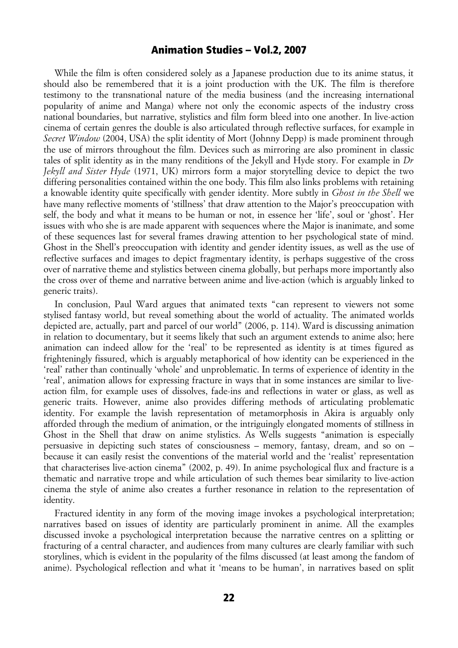While the film is often considered solely as a Japanese production due to its anime status, it should also be remembered that it is a joint production with the UK. The film is therefore testimony to the transnational nature of the media business (and the increasing international popularity of anime and Manga) where not only the economic aspects of the industry cross national boundaries, but narrative, stylistics and film form bleed into one another. In live-action cinema of certain genres the double is also articulated through reflective surfaces, for example in *Secret Window* (2004, USA) the split identity of Mort (Johnny Depp) is made prominent through the use of mirrors throughout the film. Devices such as mirroring are also prominent in classic tales of split identity as in the many renditions of the Jekyll and Hyde story. For example in *Dr Jekyll and Sister Hyde* (1971, UK) mirrors form a major storytelling device to depict the two differing personalities contained within the one body. This film also links problems with retaining a knowable identity quite specifically with gender identity. More subtly in *Ghost in the Shell* we have many reflective moments of 'stillness' that draw attention to the Major's preoccupation with self, the body and what it means to be human or not, in essence her 'life', soul or 'ghost'. Her issues with who she is are made apparent with sequences where the Major is inanimate, and some of these sequences last for several frames drawing attention to her psychological state of mind. Ghost in the Shell's preoccupation with identity and gender identity issues, as well as the use of reflective surfaces and images to depict fragmentary identity, is perhaps suggestive of the cross over of narrative theme and stylistics between cinema globally, but perhaps more importantly also the cross over of theme and narrative between anime and live-action (which is arguably linked to generic traits).

In conclusion, Paul Ward argues that animated texts "can represent to viewers not some stylised fantasy world, but reveal something about the world of actuality. The animated worlds depicted are, actually, part and parcel of our world" (2006, p. 114). Ward is discussing animation in relation to documentary, but it seems likely that such an argument extends to anime also; here animation can indeed allow for the 'real' to be represented as identity is at times figured as frighteningly fissured, which is arguably metaphorical of how identity can be experienced in the 'real' rather than continually 'whole' and unproblematic. In terms of experience of identity in the 'real', animation allows for expressing fracture in ways that in some instances are similar to liveaction film, for example uses of dissolves, fade-ins and reflections in water or glass, as well as generic traits. However, anime also provides differing methods of articulating problematic identity. For example the lavish representation of metamorphosis in Akira is arguably only afforded through the medium of animation, or the intriguingly elongated moments of stillness in Ghost in the Shell that draw on anime stylistics. As Wells suggests "animation is especially persuasive in depicting such states of consciousness – memory, fantasy, dream, and so on – because it can easily resist the conventions of the material world and the 'realist' representation that characterises live-action cinema" (2002, p. 49). In anime psychological flux and fracture is a thematic and narrative trope and while articulation of such themes bear similarity to live-action cinema the style of anime also creates a further resonance in relation to the representation of identity.

Fractured identity in any form of the moving image invokes a psychological interpretation; narratives based on issues of identity are particularly prominent in anime. All the examples discussed invoke a psychological interpretation because the narrative centres on a splitting or fracturing of a central character, and audiences from many cultures are clearly familiar with such storylines, which is evident in the popularity of the films discussed (at least among the fandom of anime). Psychological reflection and what it 'means to be human', in narratives based on split